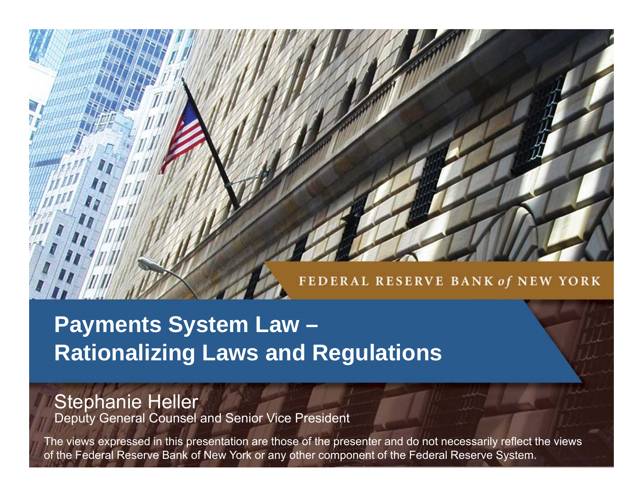### FEDERAL RESERVE BANK of NEW YORK

## **Payments System Law – Rationalizing Laws and Regulations**

# Stephanie Heller Deputy General Counsel and Senior Vice President

The views expressed in this presentation are those of the presenter and do not necessarily reflect the views of the Federal Reserve Bank of New York or any other component of the Federal Reserve System.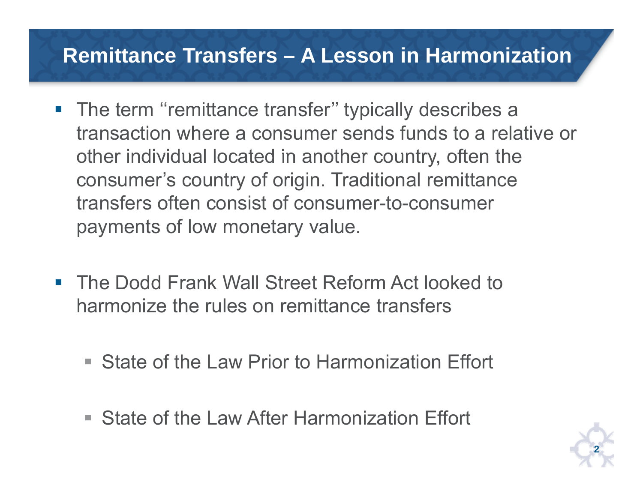### **Remittance Transfers – A Lesson in Harmonization**

- **The term "remittance transfer" typically describes a** transaction where a consumer sends funds to a relative or other individual located in another country, often the consumer's country of origin. Traditional remittance transfers often consist of consumer-to-consumer payments of low monetary value.
- The Dodd Frank Wall Street Reform Act looked to harmonize the rules on remittance transfers
	- State of the Law Prior to Harmonization Effort
	- State of the Law After Harmonization Effort

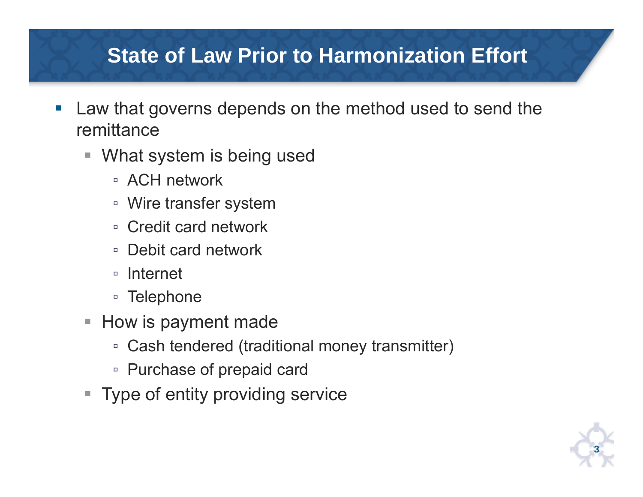- $\mathcal{C}^{\mathcal{A}}$  Law that governs depends on the method used to send the remittance
	- What system is being used
		- ACH network
		- Wire transfer system
		- Credit card network
		- Debit card network
		- Internet
		- Telephone
	- $\blacksquare$  How is payment made
		- □ Cash tendered (traditional money transmitter)
		- Purchase of prepaid card
	- **Type of entity providing service**

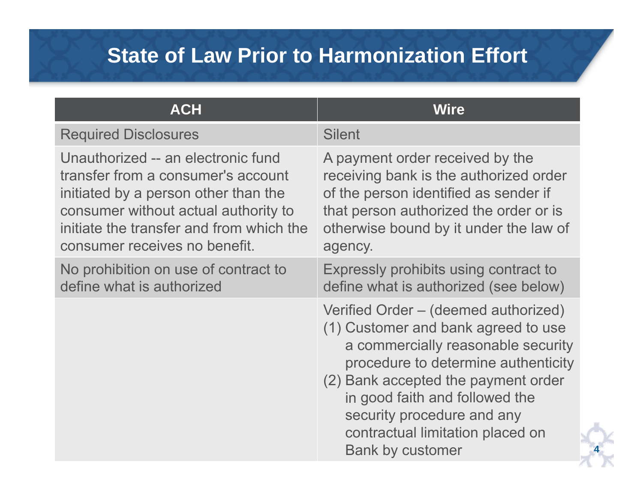| <b>ACH</b>                                                                                                                                                                                                                            | <b>Wire</b>                                                                                                                                                                                                                                                                                                                    |
|---------------------------------------------------------------------------------------------------------------------------------------------------------------------------------------------------------------------------------------|--------------------------------------------------------------------------------------------------------------------------------------------------------------------------------------------------------------------------------------------------------------------------------------------------------------------------------|
| <b>Required Disclosures</b>                                                                                                                                                                                                           | <b>Silent</b>                                                                                                                                                                                                                                                                                                                  |
| Unauthorized -- an electronic fund<br>transfer from a consumer's account<br>initiated by a person other than the<br>consumer without actual authority to<br>initiate the transfer and from which the<br>consumer receives no benefit. | A payment order received by the<br>receiving bank is the authorized order<br>of the person identified as sender if<br>that person authorized the order or is<br>otherwise bound by it under the law of<br>agency.                                                                                                              |
| No prohibition on use of contract to<br>define what is authorized                                                                                                                                                                     | Expressly prohibits using contract to<br>define what is authorized (see below)                                                                                                                                                                                                                                                 |
|                                                                                                                                                                                                                                       | Verified Order – (deemed authorized)<br>(1) Customer and bank agreed to use<br>a commercially reasonable security<br>procedure to determine authenticity<br>(2) Bank accepted the payment order<br>in good faith and followed the<br>security procedure and any<br>contractual limitation placed on<br><b>Bank by customer</b> |

**4**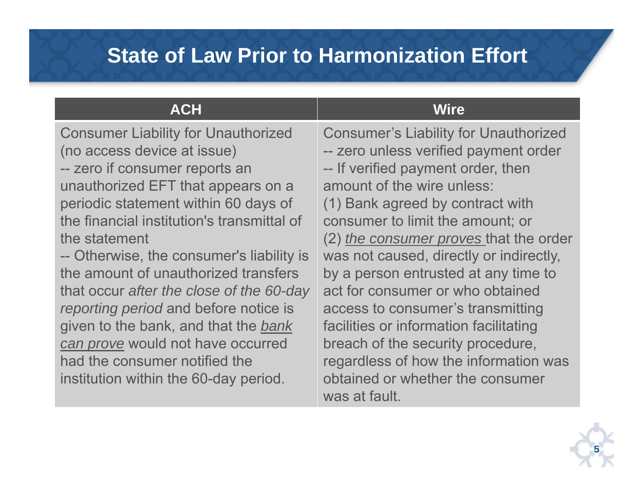| <b>Consumer's Liability for Unauthorized</b><br>-- zero unless verified payment order<br>-- If verified payment order, then<br>amount of the wire unless:<br>(1) Bank agreed by contract with<br>consumer to limit the amount; or<br>(2) the consumer proves that the order<br>was not caused, directly or indirectly,<br>by a person entrusted at any time to<br>act for consumer or who obtained<br>access to consumer's transmitting<br>facilities or information facilitating<br>breach of the security procedure,<br>regardless of how the information was<br>obtained or whether the consumer |
|-----------------------------------------------------------------------------------------------------------------------------------------------------------------------------------------------------------------------------------------------------------------------------------------------------------------------------------------------------------------------------------------------------------------------------------------------------------------------------------------------------------------------------------------------------------------------------------------------------|
|                                                                                                                                                                                                                                                                                                                                                                                                                                                                                                                                                                                                     |

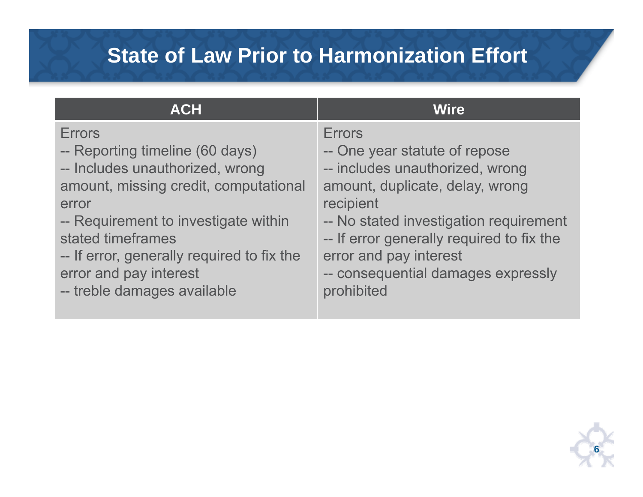| <b>ACH</b>                                 | <b>Wire</b>                               |
|--------------------------------------------|-------------------------------------------|
| <b>Errors</b>                              | <b>Errors</b>                             |
| -- Reporting timeline (60 days)            | -- One year statute of repose             |
| -- Includes unauthorized, wrong            | -- includes unauthorized, wrong           |
| amount, missing credit, computational      | amount, duplicate, delay, wrong           |
| error                                      | recipient                                 |
| -- Requirement to investigate within       | -- No stated investigation requirement    |
| stated timeframes                          | -- If error generally required to fix the |
| -- If error, generally required to fix the | error and pay interest                    |
| error and pay interest                     | -- consequential damages expressly        |
| -- treble damages available                | prohibited                                |

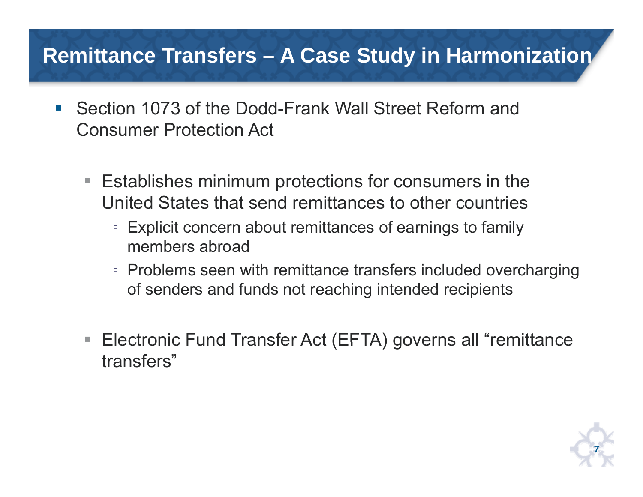### **Remittance Transfers – A Case Study in Harmonization**

- $\mathcal{L}_{\mathcal{A}}$  Section 1073 of the Dodd-Frank Wall Street Reform and Consumer Protection Act
	- Establishes minimum protections for consumers in the United States that send remittances to other countries
		- □ Explicit concern about remittances of earnings to family members abroad
		- Problems seen with remittance transfers included overcharging of senders and funds not reaching intended recipients
	- Electronic Fund Transfer Act (EFTA) governs all "remittance transfers"

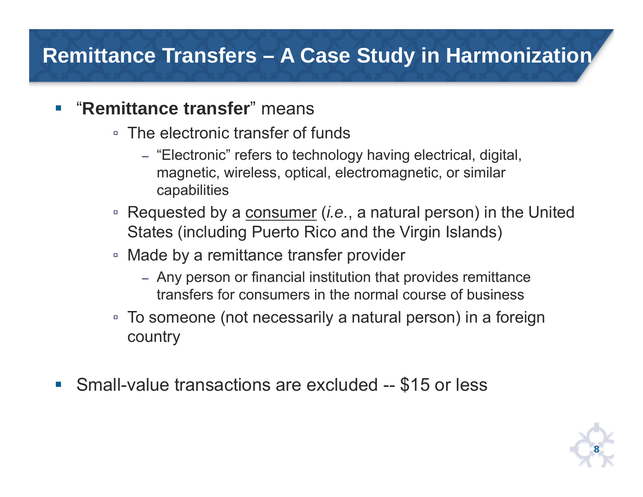### **Remittance Transfers – A Case Study in Harmonization**

#### $\mathcal{C}^{\mathcal{A}}$ "**Remittance transfer**" means

- The electronic transfer of funds
	- "Electronic  $\mathrm{^{\textdegree}}$  refers to technology having electrical, digital, magnetic, wireless, optical, electromagnetic, or similar capabilities
- □ Requested by a <u>consumer</u> (*i.e.*, a natural person) in the United States (including Puerto Rico and the Virgin Islands)
- Made by a remittance transfer provider
	- Any person or financial institution that provides remittance transfers for consumers in the normal course of business
- □ To someone (not necessarily a natural person) in a foreign country
- $\mathcal{L}_{\mathcal{A}}$ Small-value transactions are excluded -- \$15 or less

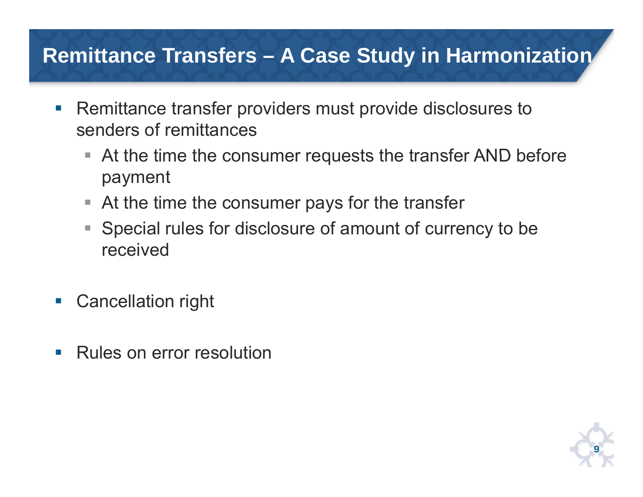### **Remittance Transfers – A Case Study in Harmonization**

- $\mathbb{R}^n$  Remittance transfer providers must provide disclosures to senders of remittances
	- At the time the consumer requests the transfer AND before payment
	- At the time the consumer pays for the transfer
	- Special rules for disclosure of amount of currency to be received
- $\mathbb{R}^3$ Cancellation right
- $\mathcal{L}_{\mathcal{A}}$ Rules on error resolution

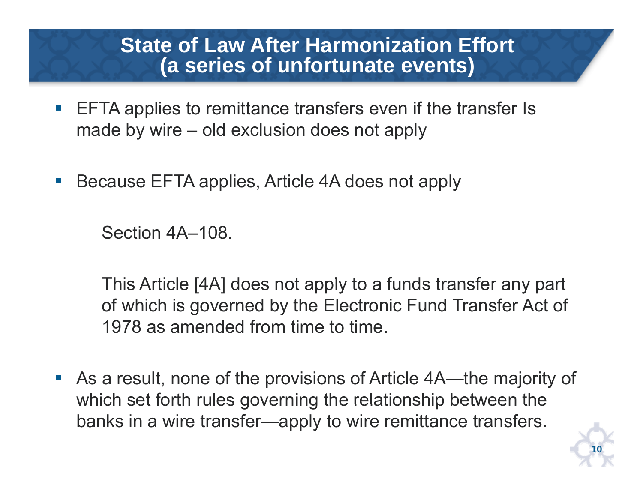- p. EFTA applies to remittance transfers even if the transfer Is made by wire – old exclusion does not apply
- $\mathbb{R}^n$ Because EFTA applies, Article 4A does not apply

Section 4A–108.

This Article [4A] does not apply to a funds transfer any part of which is governed by the Electronic Fund Transfer Act of 1978 as amended from time to time.

 As a result, none of the provisions of Article 4A—the majority of which set forth rules governing the relationship between the banks in a wire transfer—apply to wire remittance transfers.

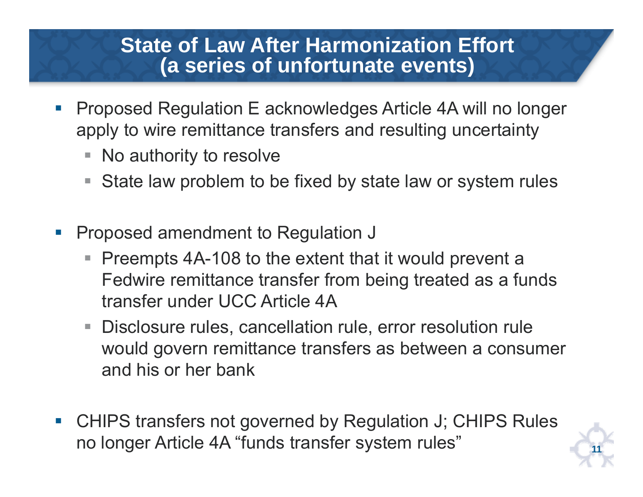- p. Proposed Regulation E acknowledges Article 4A will no longer apply to wire remittance transfers and resulting uncertainty
	- No authority to resolve
	- State law problem to be fixed by state law or system rules
- $\Box$  Proposed amendment to Regulation J
	- Preempts 4A-108 to the extent that it would prevent a Fedwire remittance transfer from being treated as <sup>a</sup> funds a transfer under UCC Article 4A
	- Disclosure rules, cancellation rule, error resolution rule would govern remittance transfers as between a consumer and his or her bank
- CHIPS transfers not governed by Regulation J; CHIPS Rules no longer Article 4A "funds transfer system rules"

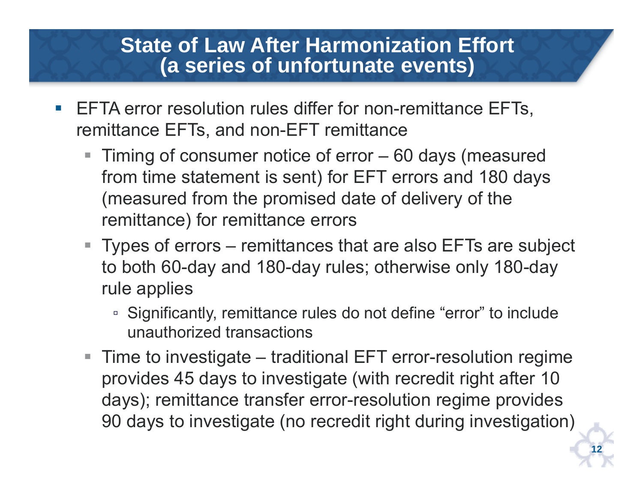- $\mathcal{C}^{\mathcal{A}}$  EFTA error resolution rules differ for non-remittance EFTs, remittance EFTs, and non-EFT remittance
	- Timing of consumer notice of error 60 days (measured from time statement is sent) for EFT errors and 180 days (measured from the promised date of delivery of the remittance) for remittance errors
	- Types of errors remittances that are also EFTs are subject to both 60-day and 180-day rules; otherwise only 180-day rule applies
		- □ Significantly, remittance rules do not define "error" to include unauthorized transactions
	- Time to investigate traditional EFT error-resolution regime provides 45 days to investigate (with recredit right after 10 days); remittance transfer error-resolution regime provides 90 days to investigate (no recredit right during investigation)

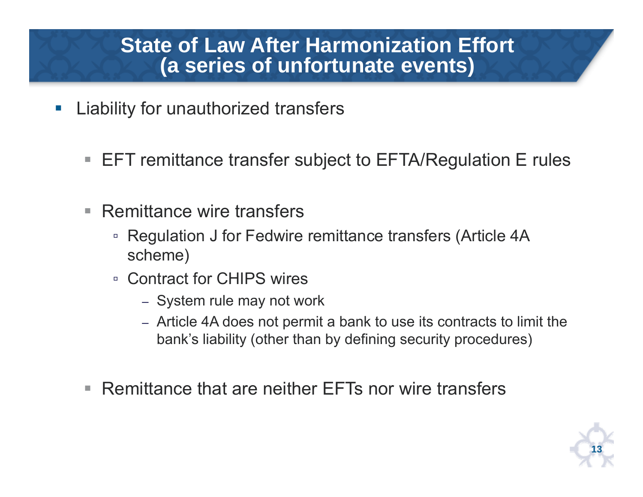- p. Liability for unauthorized transfers
	- $\blacksquare$  EFT remittance transfer subject to EFTA/Regulation E rules
	- Г Remittance wire transfers
		- □ Regulation J for Fedwire remittance transfers (Article 4A scheme)
		- Contract for CHIPS wires
			- System rule may not work
			- Article 4A does not permit a bank to use its contracts to limit the bank's liability (other than by defining security procedures)
	- Remittance that are neither EFTs nor wire transfers

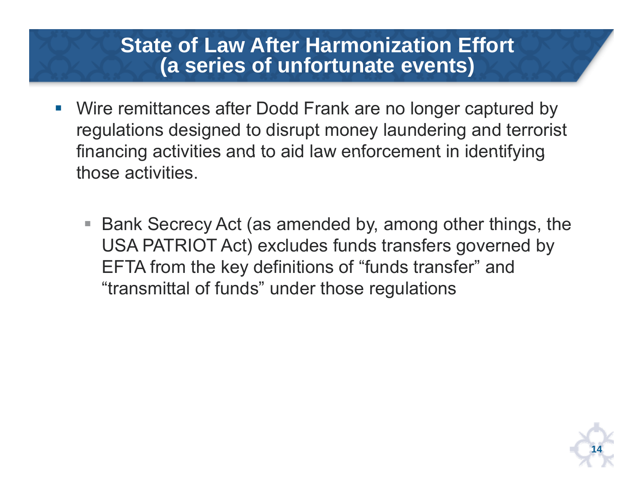- $\mathcal{C}^{\mathcal{A}}$  Wire remittances after Dodd Frank are no longer captured by regulations designed to disrupt money laundering and terrorist financing activities and to aid law enforcement in identifying those activities.
	- Bank Secrecy Act (as amended by, among other things, the USA PATRIOT Act) excludes funds transfers governed by EFTA from the key definitions of "funds transfer" and "transmittal of funds" under those regulations

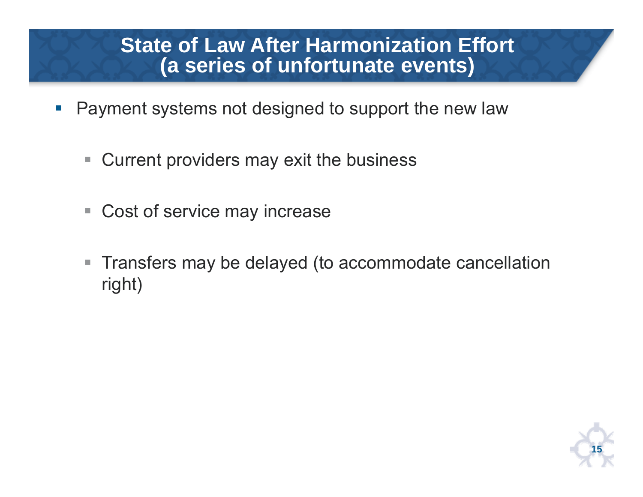- p. Payment systems not designed to support the new law
	- $\Box$ ■ Current providers may exit the business
	- $\mathcal{L}_{\mathcal{A}}$ Cost of service may increase
	- $\mathbb{R}^n$  Transfers may be delayed (to accommodate cancellation right)